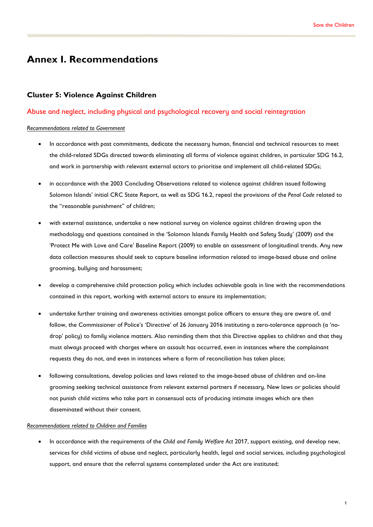# **Annex I. Recommendations**

# **Cluster 5: Violence Against Children**

## Abuse and neglect, including physical and psychological recovery and social reintegration

#### *Recommendations related to Government*

- In accordance with past commitments, dedicate the necessary human, financial and technical resources to meet the child-related SDGs directed towards eliminating all forms of violence against children, in particular SDG 16.2, and work in partnership with relevant external actors to prioritise and implement all child-related SDGs;
- in accordance with the 2003 Concluding Observations related to violence against children issued following Solomon Islands' initial CRC State Report, as well as SDG 16.2, repeal the provisions of the *Penal Code* related to the "reasonable punishment" of children;
- with external assistance, undertake a new national survey on violence against children drawing upon the methodology and questions contained in the 'Solomon Islands Family Health and Safety Study' (2009) and the 'Protect Me with Love and Care' Baseline Report (2009) to enable an assessment of longitudinal trends. Any new data collection measures should seek to capture baseline information related to image-based abuse and online grooming, bullying and harassment;
- develop a comprehensive child protection policy which includes achievable goals in line with the recommendations contained in this report, working with external actors to ensure its implementation;
- undertake further training and awareness activities amongst police officers to ensure they are aware of, and follow, the Commissioner of Police's 'Directive' of 26 January 2016 instituting a zero-tolerance approach (a 'nodrop' policy) to family violence matters. Also reminding them that this Directive applies to children and that they must always proceed with charges where an assault has occurred, even in instances where the complainant requests they do not, and even in instances where a form of reconciliation has taken place;
- following consultations, develop policies and laws related to the image-based abuse of children and on-line grooming seeking technical assistance from relevant external partners if necessary. New laws or policies should not punish child victims who take part in consensual acts of producing intimate images which are then disseminated without their consent.

#### *Recommendations related to Children and Families*

• In accordance with the requirements of the *Child and Family Welfare Act* 2017, support existing, and develop new, services for child victims of abuse and neglect, particularly health, legal and social services, including psychological support, and ensure that the referral systems contemplated under the Act are instituted;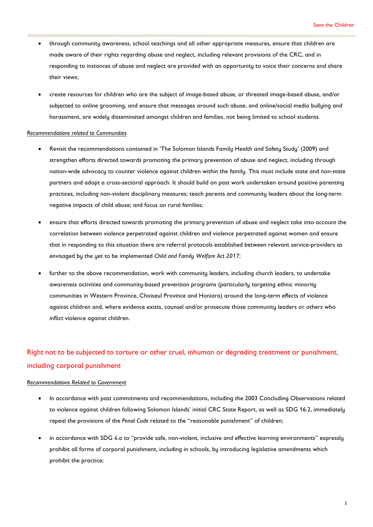- through community awareness, school teachings and all other appropriate measures, ensure that children are made aware of their rights regarding abuse and neglect, including relevant provisions of the CRC, and in responding to instances of abuse and neglect are provided with an opportunity to voice their concerns and share their views;
- create resources for children who are the subject of image-based abuse, or threated image-based abuse, and/or subjected to online grooming, and ensure that messages around such abuse, and online/social media bullying and harassment, are widely disseminated amongst children and families, not being limited to school students.

#### *Recommendations related to Communities*

- Revisit the recommendations contained in 'The Solomon Islands Family Health and Safety Study' (2009) and strengthen efforts directed towards promoting the primary prevention of abuse and neglect, including through nation-wide advocacy to counter violence against children within the family. This must include state and non-state partners and adopt a cross-sectoral approach. It should build on past work undertaken around positive parenting practices, including non-violent disciplinary measures; teach parents and community leaders about the long-term negative impacts of child abuse; and focus on rural families;
- ensure that efforts directed towards promoting the primary prevention of abuse and neglect take into account the correlation between violence perpetrated against children and violence perpetrated against women and ensure that in responding to this situation there are referral protocols established between relevant service-providers as envisaged by the yet to be implemented *Child and Family Welfare Act 2017*;
- further to the above recommendation, work with community leaders, including church leaders, to undertake awareness activities and community-based prevention programs (particularly targeting ethnic minority communities in Western Province, Choiseul Province and Honiara) around the long-term effects of violence against children and, where evidence exists, counsel and/or prosecute those community leaders or others who inflict violence against children.

# Right not to be subjected to torture or other cruel, inhuman or degrading treatment or punishment, including corporal punishment

- In accordance with past commitments and recommendations, including the 2003 Concluding Observations related to violence against children following Solomon Islands' initial CRC State Report, as well as SDG 16.2, immediately repeal the provisions of the *Penal Code* related to the "reasonable punishment" of children;
- in accordance with SDG 4.a to "provide safe, non-violent, inclusive and effective learning environments" expressly prohibit all forms of corporal punishment, including in schools, by introducing legislative amendments which prohibit the practice;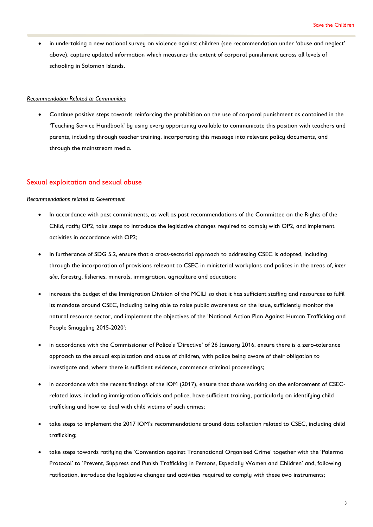• in undertaking a new national survey on violence against children (see recommendation under 'abuse and neglect' above), capture updated information which measures the extent of corporal punishment across all levels of schooling in Solomon Islands.

#### *Recommendation Related to Communities*

• Continue positive steps towards reinforcing the prohibition on the use of corporal punishment as contained in the 'Teaching Service Handbook' by using every opportunity available to communicate this position with teachers and parents, including through teacher training, incorporating this message into relevant policy documents, and through the mainstream media.

## Sexual exploitation and sexual abuse

- In accordance with past commitments, as well as past recommendations of the Committee on the Rights of the Child, ratify OP2, take steps to introduce the legislative changes required to comply with OP2, and implement activities in accordance with OP2;
- In furtherance of SDG 5.2, ensure that a cross-sectorial approach to addressing CSEC is adopted, including through the incorporation of provisions relevant to CSEC in ministerial workplans and polices in the areas of, *inter alia*, forestry, fisheries, minerals, immigration, agriculture and education;
- increase the budget of the Immigration Division of the MCILI so that it has sufficient staffing and resources to fulfil its mandate around CSEC, including being able to raise public awareness on the issue, sufficiently monitor the natural resource sector, and implement the objectives of the 'National Action Plan Against Human Trafficking and People Smuggling 2015-2020';
- in accordance with the Commissioner of Police's 'Directive' of 26 January 2016, ensure there is a zero-tolerance approach to the sexual exploitation and abuse of children, with police being aware of their obligation to investigate and, where there is sufficient evidence, commence criminal proceedings;
- in accordance with the recent findings of the IOM (2017), ensure that those working on the enforcement of CSECrelated laws, including immigration officials and police, have sufficient training, particularly on identifying child trafficking and how to deal with child victims of such crimes;
- take steps to implement the 2017 IOM's recommendations around data collection related to CSEC, including child trafficking;
- take steps towards ratifying the 'Convention against Transnational Organised Crime' together with the 'Palermo Protocol' to 'Prevent, Suppress and Punish Trafficking in Persons, Especially Women and Children' and, following ratification, introduce the legislative changes and activities required to comply with these two instruments;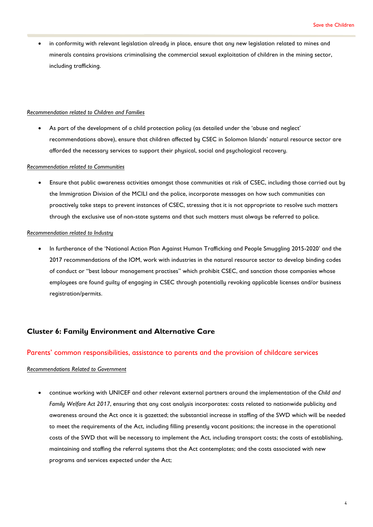• in conformity with relevant legislation already in place, ensure that any new legislation related to mines and minerals contains provisions criminalising the commercial sexual exploitation of children in the mining sector, including trafficking.

#### *Recommendation related to Children and Families*

As part of the development of a child protection policy (as detailed under the 'abuse and neglect' recommendations above), ensure that children affected by CSEC in Solomon Islands' natural resource sector are afforded the necessary services to support their physical, social and psychological recovery.

#### *Recommendation related to Communities*

• Ensure that public awareness activities amongst those communities at risk of CSEC, including those carried out by the Immigration Division of the MCILI and the police, incorporate messages on how such communities can proactively take steps to prevent instances of CSEC, stressing that it is not appropriate to resolve such matters through the exclusive use of non-state systems and that such matters must always be referred to police.

#### *Recommendation related to Industry*

• In furtherance of the 'National Action Plan Against Human Trafficking and People Smuggling 2015-2020' and the 2017 recommendations of the IOM, work with industries in the natural resource sector to develop binding codes of conduct or "best labour management practises" which prohibit CSEC, and sanction those companies whose employees are found guilty of engaging in CSEC through potentially revoking applicable licenses and/or business registration/permits.

## **Cluster 6: Family Environment and Alternative Care**

#### Parents' common responsibilities, assistance to parents and the provision of childcare services

#### *Recommendations Related to Government*

• continue working with UNICEF and other relevant external partners around the implementation of the *Child and Family Welfare Act 2017*, ensuring that any cost analysis incorporates: costs related to nationwide publicity and awareness around the Act once it is gazetted; the substantial increase in staffing of the SWD which will be needed to meet the requirements of the Act, including filling presently vacant positions; the increase in the operational costs of the SWD that will be necessary to implement the Act, including transport costs; the costs of establishing, maintaining and staffing the referral systems that the Act contemplates; and the costs associated with new programs and services expected under the Act;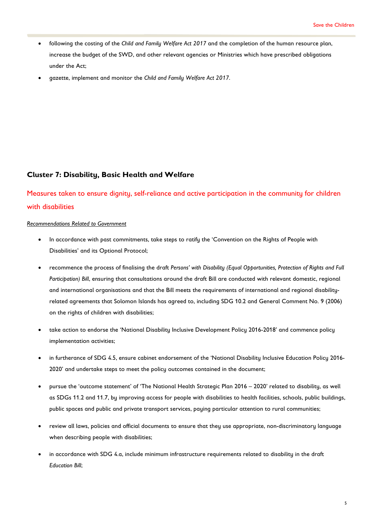- following the costing of the *Child and Family Welfare Act 2017* and the completion of the human resource plan, increase the budget of the SWD, and other relevant agencies or Ministries which have prescribed obligations under the Act;
- gazette, implement and monitor the *Child and Family Welfare Act 2017*.

# **Cluster 7: Disability, Basic Health and Welfare**

Measures taken to ensure dignity, self-reliance and active participation in the community for children with disabilities

- In accordance with past commitments, take steps to ratify the 'Convention on the Rights of People with Disabilities' and its Optional Protocol;
- recommence the process of finalising the draft *Persons' with Disability (Equal Opportunities, Protection of Rights and Full Participation) Bill*, ensuring that consultations around the draft Bill are conducted with relevant domestic, regional and international organisations and that the Bill meets the requirements of international and regional disabilityrelated agreements that Solomon Islands has agreed to, including SDG 10.2 and General Comment No. 9 (2006) on the rights of children with disabilities;
- take action to endorse the 'National Disability Inclusive Development Policy 2016-2018' and commence policy implementation activities;
- in furtherance of SDG 4.5, ensure cabinet endorsement of the 'National Disability Inclusive Education Policy 2016- 2020' and undertake steps to meet the policy outcomes contained in the document;
- pursue the 'outcome statement' of 'The National Health Strategic Plan 2016 2020' related to disability, as well as SDGs 11.2 and 11.7, by improving access for people with disabilities to health facilities, schools, public buildings, public spaces and public and private transport services, paying particular attention to rural communities;
- review all laws, policies and official documents to ensure that they use appropriate, non-discriminatory language when describing people with disabilities;
- in accordance with SDG 4.a, include minimum infrastructure requirements related to disability in the draft *Education Bill*;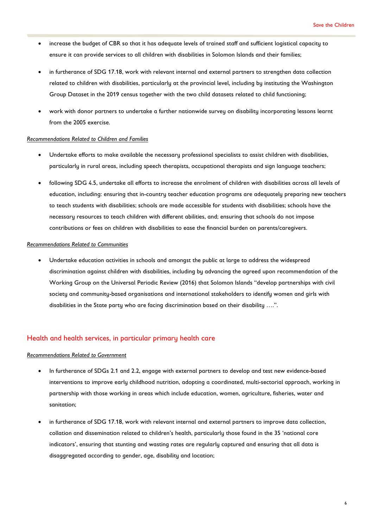- increase the budget of CBR so that it has adequate levels of trained staff and sufficient logistical capacity to ensure it can provide services to all children with disabilities in Solomon Islands and their families;
- in furtherance of SDG 17.18, work with relevant internal and external partners to strengthen data collection related to children with disabilities, particularly at the provincial level, including by instituting the Washington Group Dataset in the 2019 census together with the two child datasets related to child functioning;
- work with donor partners to undertake a further nationwide survey on disability incorporating lessons learnt from the 2005 exercise.

#### *Recommendations Related to Children and Families*

- Undertake efforts to make available the necessary professional specialists to assist children with disabilities, particularly in rural areas, including speech therapists, occupational therapists and sign language teachers;
- following SDG 4.5, undertake all efforts to increase the enrolment of children with disabilities across all levels of education, including: ensuring that in-country teacher education programs are adequately preparing new teachers to teach students with disabilities; schools are made accessible for students with disabilities; schools have the necessary resources to teach children with different abilities, and; ensuring that schools do not impose contributions or fees on children with disabilities to ease the financial burden on parents/caregivers.

#### *Recommendations Related to Communities*

• Undertake education activities in schools and amongst the public at large to address the widespread discrimination against children with disabilities, including by advancing the agreed upon recommendation of the Working Group on the Universal Periodic Review (2016) that Solomon Islands "develop partnerships with civil society and community-based organisations and international stakeholders to identify women and girls with disabilities in the State party who are facing discrimination based on their disability ….".

## Health and health services, in particular primary health care

- In furtherance of SDGs 2.1 and 2.2, engage with external partners to develop and test new evidence-based interventions to improve early childhood nutrition, adopting a coordinated, multi-sectorial approach, working in partnership with those working in areas which include education, women, agriculture, fisheries, water and sanitation;
- in furtherance of SDG 17.18, work with relevant internal and external partners to improve data collection, collation and dissemination related to children's health, particularly those found in the 35 'national core indicators', ensuring that stunting and wasting rates are regularly captured and ensuring that all data is disaggregated according to gender, age, disability and location;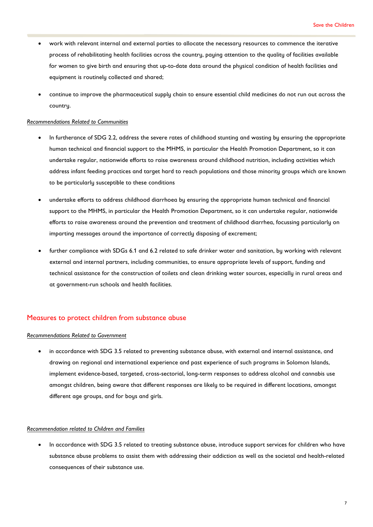- work with relevant internal and external parties to allocate the necessary resources to commence the iterative process of rehabilitating health facilities across the country, paying attention to the quality of facilities available for women to give birth and ensuring that up-to-date data around the physical condition of health facilities and equipment is routinely collected and shared;
- continue to improve the pharmaceutical supply chain to ensure essential child medicines do not run out across the countru.

#### *Recommendations Related to Communities*

- In furtherance of SDG 2.2, address the severe rates of childhood stunting and wasting by ensuring the appropriate human technical and financial support to the MHMS, in particular the Health Promotion Department, so it can undertake regular, nationwide efforts to raise awareness around childhood nutrition, including activities which address infant feeding practices and target hard to reach populations and those minority groups which are known to be particularly susceptible to these conditions
- undertake efforts to address childhood diarrhoea by ensuring the appropriate human technical and financial support to the MHMS, in particular the Health Promotion Department, so it can undertake regular, nationwide efforts to raise awareness around the prevention and treatment of childhood diarrhea, focussing particularly on imparting messages around the importance of correctly disposing of excrement;
- further compliance with SDGs 6.1 and 6.2 related to safe drinker water and sanitation, by working with relevant external and internal partners, including communities, to ensure appropriate levels of support, funding and technical assistance for the construction of toilets and clean drinking water sources, especially in rural areas and at government-run schools and health facilities.

## Measures to protect children from substance abuse

#### *Recommendations Related to Government*

• in accordance with SDG 3.5 related to preventing substance abuse, with external and internal assistance, and drawing on regional and international experience and past experience of such programs in Solomon Islands, implement evidence-based, targeted, cross-sectorial, long-term responses to address alcohol and cannabis use amongst children, being aware that different responses are likely to be required in different locations, amongst different age groups, and for boys and girls.

### *Recommendation related to Children and Families*

• In accordance with SDG 3.5 related to treating substance abuse, introduce support services for children who have substance abuse problems to assist them with addressing their addiction as well as the societal and health-related consequences of their substance use.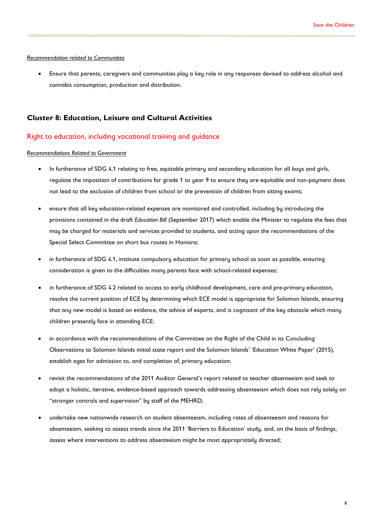#### *Recommendation related to Communities*

• Ensure that parents, caregivers and communities play a key role in any responses devised to address alcohol and cannabis consumption, production and distribution.

## **Cluster 8: Education, Leisure and Cultural Activities**

#### Right to education, including vocational training and guidance

- In furtherance of SDG 4.1 relating to free, equitable primary and secondary education for all boys and girls, regulate the imposition of contributions for grade 1 to year 9 to ensure they are equitable and non-payment does not lead to the exclusion of children from school or the prevention of children from sitting exams;
- ensure that all key education-related expenses are monitored and controlled, including by introducing the provisions contained in the draft *Education Bill* (September 2017) which enable the Minister to regulate the fees that may be charged for materials and services provided to students, and acting upon the recommendations of the Special Select Committee on short bus routes in Honiara;
- in furtherance of SDG 4.1, institute compulsory education for primary school as soon as possible, ensuring consideration is given to the difficulties many parents face with school-related expenses;
- in furtherance of SDG 4.2 related to access to early childhood development, care and pre-primary education, resolve the current position of ECE bu determining which ECE model is appropriate for Solomon Islands, ensuring that any new model is based on evidence, the advice of experts, and is cognisant of the key obstacle which many children presently face in attending ECE;
- in accordance with the recommendations of the Committee on the Right of the Child in its Concluding Observations to Solomon Islands initial state report and the Solomon Islands' 'Education White Paper' (2015), establish ages for admission to, and completion of, primary education;
- revisit the recommendations of the 2011 Auditor General's report related to teacher absenteeism and seek to adopt a holistic, iterative, evidence-based approach towards addressing absenteeism which does not rely solely on "stronger controls and supervision" by staff of the MEHRD;
- undertake new nationwide research on student absenteeism, including rates of absenteeism and reasons for absenteeism, seeking to assess trends since the 2011 'Barriers to Education' study, and, on the basis of findings, assess where interventions to address absenteeism might be most appropriately directed;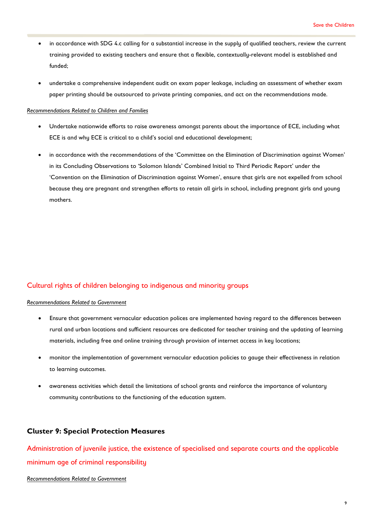- in accordance with SDG 4.c calling for a substantial increase in the supply of qualified teachers, review the current training provided to existing teachers and ensure that a flexible, contextually-relevant model is established and funded;
- undertake a comprehensive independent audit on exam paper leakage, including an assessment of whether exam paper printing should be outsourced to private printing companies, and act on the recommendations made.

#### *Recommendations Related to Children and Families*

- Undertake nationwide efforts to raise awareness amongst parents about the importance of ECE, including what ECE is and why ECE is critical to a child's social and educational development;
- in accordance with the recommendations of the 'Committee on the Elimination of Discrimination against Women' in its Concluding Observations to 'Solomon Islands' Combined Initial to Third Periodic Report' under the 'Convention on the Elimination of Discrimination against Women', ensure that girls are not expelled from school because they are pregnant and strengthen efforts to retain all girls in school, including pregnant girls and young mothers.

## Cultural rights of children belonging to indigenous and minority groups

#### *Recommendations Related to Government*

- Ensure that government vernacular education polices are implemented having regard to the differences between rural and urban locations and sufficient resources are dedicated for teacher training and the updating of learning materials, including free and online training through provision of internet access in key locations;
- monitor the implementation of government vernacular education policies to gauge their effectiveness in relation to learning outcomes.
- awareness activities which detail the limitations of school grants and reinforce the importance of voluntary community contributions to the functioning of the education system.

## **Cluster 9: Special Protection Measures**

Administration of juvenile justice, the existence of specialised and separate courts and the applicable minimum age of criminal responsibility